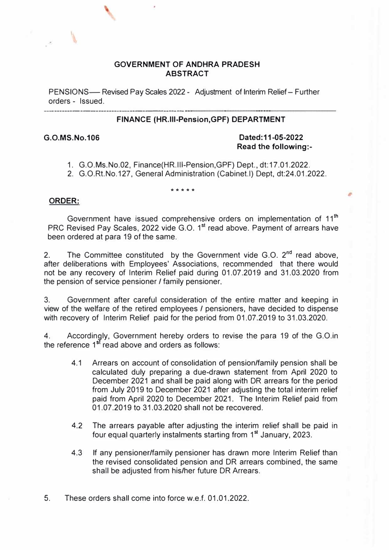#### **GOVERNMENT OF ANDHRA PRADESH ABSTRACT**

PENSIONS- Revised Pay Scales 2022 - Adjustment of Interim Relief- Further orders - Issued. -------------------------------

#### **FINANCE (HR.111-Pension,GPF) DEPARTMENT**

### **G.O.MS.No.106 Dated: 11-05-2022 Read the following:-**

- 1. G.O.Ms.No.02, Finance(HR.I11-Pension,GPF) Dept., dt:17.01 .2022.
- 2. G.O.Rt.No.127, General Administration (Cabinet.I) Dept, dt:24.01 .2022.

#### \*\*\*\*\*

#### **ORDER:**

Government have issued comprehensive orders on implementation of 11<sup>th</sup> PRC Revised Pay Scales, 2022 vide G.O. 1<sup>st</sup> read above. Payment of arrears have been ordered at para 19 of the same.

2. The Committee constituted by the Government vide G.O. 2<sup>nd</sup> read above, after deliberations with Employees' Associations, recommended that there would not be any recovery of Interim Relief paid during 01.07.2019 and 31.03.2020 from the pension of service pensioner / family pensioner.

3. Government after careful consideration of the entire matter and keeping in view of the welfare of the retired employees / pensioners, have decided to dispense with recovery of Interim Relief paid for the period from 01.07.2019 to 31.03.2020.

4. According Accordingly, Government hereby orders to revise the para 19 of the G.O.in the reference 1<sup>st</sup> read above and orders as follows:

- 4.1 Arrears on account of consolidation of pension/family pension shall be calculated duly preparing a due-drawn statement from April 2020 to December 2021 and shall be paid along with DR arrears for the period from July 2019 to December 2021 after adjusting the total interim relief paid from April 2020 to December 2021. The Interim Relief paid from 01.07.2019 to 31.03.2020 shall not be recovered.
- 4.2 The arrears payable after adjusting the interim relief shall be paid in four equal quarterly instalments starting from 1<sup>st</sup> January, 2023.
- 4.3 If any pensioner/family pensioner has drawn more Interim Relief than the revised consolidated pension and DR arrears combined, the same shall be adjusted from his/her future DR Arrears.

5. These orders shall come into force w.e.f. 01.01.2022.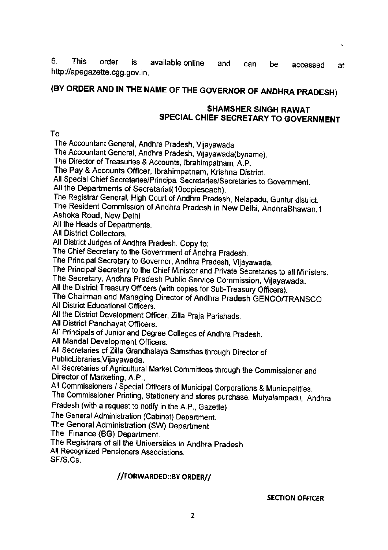6. **This** order is. available online and can be accessed at http://apegazette.cgg.gov.in.

## (BY ORDER AND IN THE NAME OF THE GOVERNOR OF ANDHRA PRADESH)

### **SHAMSHER SINGH RAWAT** SPECIAL CHIEF SECRETARY TO GOVERNMENT

Tο.

The Accountant General, Andhra Pradesh, Vijayawada

The Accountant General, Andhra Pradesh, Vijayawada(byname).

The Director of Treasuries & Accounts, Ibrahimpatnam, A.P.

The Pay & Accounts Officer, Ibrahimpatnam, Krishna District.

All Special Chief Secretaries/Principal Secretaries/Secretaries to Government.

All the Departments of Secretariat(10copieseach).

The Registrar General, High Court of Andhra Pradesh, Nelapadu, Guntur district.

The Resident Commission of Andhra Pradesh in New Delhi, AndhraBhawan, 1 Ashoka Road, New Delhi

All the Heads of Departments.

All District Collectors.

All District Judges of Andhra Pradesh. Copy to:

The Chief Secretary to the Government of Andhra Pradesh.

The Principal Secretary to Governor, Andhra Pradesh, Vijayawada.

The Principal Secretary to the Chief Minister and Private Secretaries to all Ministers.

The Secretary, Andhra Pradesh Public Service Commission, Vijayawada.

All the District Treasury Officers (with copies for Sub-Treasury Officers).

The Chairman and Managing Director of Andhra Pradesh GENCO/TRANSCO All District Educational Officers.

All the District Development Officer, Zilla Praja Parishads.

All District Panchayat Officers.

All Principals of Junior and Degree Colleges of Andhra Pradesh.

All Mandal Development Officers.

All Secretaries of Zilla Grandhalaya Samsthas through Director of PublicLibraries, Vijayawada.

All Secretaries of Agricultural Market Committees through the Commissioner and Director of Marketing, A.P.,

All Commissioners / Special Officers of Municipal Corporations & Municipalities. The Commissioner Printing, Stationery and stores purchase, Mutyalampadu, Andhra

Pradesh (with a request to notify in the A.P., Gazette)

The General Administration (Cabinet) Department.

The General Administration (SW) Department

The Finance (BG) Department.

The Registrars of all the Universities in Andhra Pradesh

All Recognized Pensioners Associations.

SF/S.Cs.

### //FORWARDED::BY ORDER//

**SECTION OFFICER**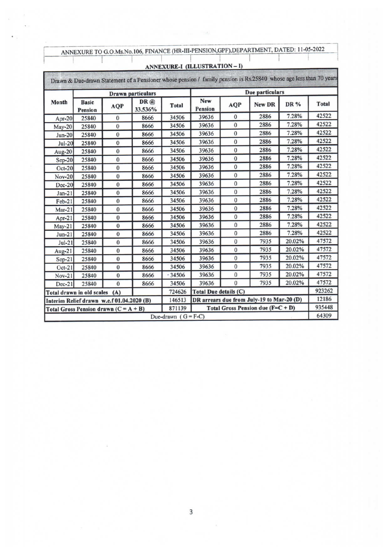| ANNEXURE TO G.O.Ms.No.106, FINANCE (HR-III-PENSION, GPF), DEPARTMENT, DATED: 11-05-2022 |  |
|-----------------------------------------------------------------------------------------|--|
|                                                                                         |  |

1

### ANNEXURE-I (ILLUSTRATION-I)

|          |                                           |                | <b>Drawn</b> particulars |                       |                                   | Due particulars |                                           |        |              |  |  |
|----------|-------------------------------------------|----------------|--------------------------|-----------------------|-----------------------------------|-----------------|-------------------------------------------|--------|--------------|--|--|
| Month    | <b>Basic</b><br><b>Pension</b>            | AQP            | DR@<br>33.536%           | Total                 | New<br><b>Pension</b>             | AQP             | New DR                                    | DR %   | <b>Total</b> |  |  |
| $Apr-20$ | 25840                                     | $\bf{0}$       | 8666                     | 34506                 | 39636                             | $\bf{0}$        | 2886                                      | 7.28%  | 42522        |  |  |
| May-20   | 25840                                     | $\mathbf{0}$   | 8666                     | 34506                 | 39636                             | $\bf{0}$        | 2886                                      | 7.28%  | 42522        |  |  |
| $Jun-20$ | 25840                                     | $\mathbf{0}$   | 8666                     | 34506                 | 39636                             | $\bf{0}$        | 2886                                      | 7.28%  | 42522        |  |  |
| $Jul-20$ | 25840                                     | $\mathbf{0}$   | 8666                     | 34506                 | 39636                             | $\bf{0}$        | 2886                                      | 7.28%  | 42522        |  |  |
| Aug-20   | 25840                                     | $\mathbf{0}$   | 8666                     | 34506                 | 39636                             | $\bf{0}$        | 2886                                      | 7.28%  | 42522        |  |  |
| $Sep-20$ | 25840                                     | $\mathbf{0}$   | 8666                     | 34506                 | 39636                             | $\bf{0}$        | 2886                                      | 7.28%  | 42522        |  |  |
| $Oct-20$ | 25840                                     | $\bf{0}$       | 8666                     | 34506                 | 39636                             | $\bf{0}$        | 2886                                      | 7.28%  | 42522        |  |  |
| Nov-20   | 25840                                     | $\mathbf{0}$   | 8666                     | 34506                 | 39636                             | $\bf{0}$        | 2886                                      | 7.28%  | 42522        |  |  |
| $Dec-20$ | 25840                                     | $\mathbf{0}$   | 8666                     | 34506                 | 39636                             | $\bf{0}$        | 2886                                      | 7.28%  | 42522        |  |  |
| $Jan-21$ | 25840                                     | $\mathbf{0}$   | 8666                     | 34506                 | 39636                             | $\Omega$        | 2886                                      | 7.28%  | 42522        |  |  |
| Feb-21   | 25840                                     | $\mathbf{0}$   | 8666                     | 34506                 | 39636                             | $\bf{0}$        | 2886                                      | 7.28%  | 42522        |  |  |
| $Mar-21$ | 25840                                     | $\theta$       | 8666                     | 34506                 | 39636                             | $\bf{0}$        | 2886                                      | 7.28%  | 42522        |  |  |
| Apr-21   | 25840                                     | $\bf{0}$       | 8666                     | 34506                 | 39636                             | $\bf{0}$        | 2886                                      | 7.28%  | 42522        |  |  |
| $May-21$ | 25840                                     | $\bf{0}$       | 8666                     | 34506                 | 39636                             | $\bf{0}$        | 2886                                      | 7.28%  | 42522        |  |  |
| $Jun-21$ | 25840                                     | $\mathbf{0}$   | 8666                     | 34506                 | 39636                             | $\bf{0}$        | 2886                                      | 7.28%  | 42522        |  |  |
| $Jul-21$ | 25840                                     | 0              | 8666                     | 34506                 | 39636                             | $\bf{0}$        | 7935                                      | 20.02% | 47572        |  |  |
| Aug-21   | 25840                                     | $\bf{0}$       | 8666                     | 34506                 | 39636                             | $\bf{0}$        | 7935                                      | 20.02% | 47572        |  |  |
| $Sep-21$ | 25840                                     | $\mathbf{0}$   | 8666                     | 34506                 | 39636                             | $\bf{0}$        | 7935                                      | 20.02% | 47572        |  |  |
| $Oct-21$ | 25840                                     | $\Omega$       | 8666                     | 34506                 | 39636                             | $\overline{0}$  | 7935                                      | 20.02% | 47572        |  |  |
| $Nov-21$ | 25840                                     | $\mathbf{0}$   | 8666                     | 34506                 | 39636                             | $\mathbf{0}$    | 7935                                      | 20.02% | 47572        |  |  |
| $Dec-21$ | 25840                                     | $\overline{0}$ | 8666                     | 34506                 | 39636                             | $\mathbf{0}$    | 7935                                      | 20.02% | 47572        |  |  |
|          | Total drawn in old scales                 | (A)            |                          | 724626                | Total Due details (C)             |                 |                                           |        | 923262       |  |  |
|          | Interim Relief drawn w.e.f 01.04.2020 (B) |                |                          | 146513                |                                   |                 | DR arrears due from July-19 to Mar-20 (D) |        | 12186        |  |  |
|          | Total Gross Pension drawn $(C = A + B)$   |                |                          | 871139                | Total Gross Pension due $(F=C+D)$ | 935448          |                                           |        |              |  |  |
|          |                                           |                |                          | Due-drawn $(G = F-C)$ |                                   |                 |                                           |        |              |  |  |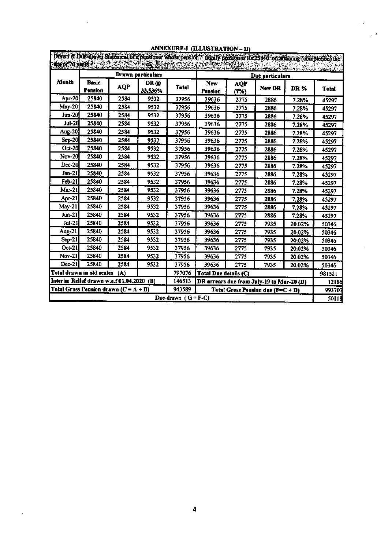|                                           |                                                                          |                                         |                          |              | Drawn & Due drawn Slatement of a pensioner whose pension / family pension is Rs 25840 on attaming (completion) the<br>and the company of the company of the company of the company of the company of the company of the company of t |             |                                           |        |              |  |
|-------------------------------------------|--------------------------------------------------------------------------|-----------------------------------------|--------------------------|--------------|--------------------------------------------------------------------------------------------------------------------------------------------------------------------------------------------------------------------------------------|-------------|-------------------------------------------|--------|--------------|--|
|                                           |                                                                          |                                         | <b>Drawn particulars</b> |              |                                                                                                                                                                                                                                      |             | Due particulars                           |        |              |  |
| Month                                     | <b>Basic</b><br>Pension                                                  | <b>AQP</b>                              | DR @<br>33.536%          | <b>Total</b> | New<br>Pension                                                                                                                                                                                                                       | AQP<br>(7%) | New DR                                    | DR%    | <b>Total</b> |  |
| <b>Apr-20</b>                             | 25840                                                                    | 2584                                    | 9532                     | 37956        | 39636                                                                                                                                                                                                                                | 2775        | 2886                                      | 7.28%  | 45297        |  |
| $May-20$                                  | 25840                                                                    | 2584                                    | 9532                     | 37956        | 39636                                                                                                                                                                                                                                | 2775        | 2886                                      | 7.28%  | 45297        |  |
| Jun-20                                    | 25840                                                                    | 2584                                    | 9532                     | 37956        | 39636                                                                                                                                                                                                                                | 2775        | 2886                                      | 7.28%  | 45297        |  |
| <b>Jul-20</b>                             | 25840                                                                    | 2584                                    | 9532                     | 37956        | 39636                                                                                                                                                                                                                                | 2775        | 2886                                      | 7.28%  | 45297        |  |
| Aug-20                                    | 25840                                                                    | 2584                                    | 9532                     | 37956        | 39636                                                                                                                                                                                                                                | 2775        | 2886                                      | 7.28%  | 45297        |  |
| $Sep-20$                                  | 25840                                                                    | 2584                                    | 9532                     | 37956        | 39636                                                                                                                                                                                                                                | 2775        | 2886                                      | 7.28%  | 45297        |  |
| $Oct-20$                                  | 25840                                                                    | 2584                                    | 9532                     | 37956        | 39636                                                                                                                                                                                                                                | 2775        | 2886                                      | 7.28%  | 45297        |  |
| <b>Nov-20</b>                             | 25840                                                                    | 2584                                    | 9532                     | 37956        | 39636                                                                                                                                                                                                                                | 2775        | 2886                                      | 7.28%  | 45297        |  |
| $Dec-20$                                  | 25840                                                                    | 2584                                    | 9532                     | 37956        | 39636                                                                                                                                                                                                                                | 2775        | 2886                                      | 7.28%  | 45297        |  |
| Jan-21                                    | 25840                                                                    | 2584                                    | 9532                     | 37956        | 39636                                                                                                                                                                                                                                | 2775        | 2886                                      | 7.28%  | 45297        |  |
| $Fcb-21$                                  | 25840                                                                    | 2584                                    | 9532                     | 37956        | 39636                                                                                                                                                                                                                                | 2775        | 2886                                      | 7.28%  | 45297        |  |
| Mar-21                                    | 25840                                                                    | 2584                                    | 9532                     | 37956        | 39636                                                                                                                                                                                                                                | 2775        | 2886                                      | 7.28%  | 45297        |  |
| Apr-21                                    | 25840                                                                    | 2584                                    | 9532                     | 37956        | 39636                                                                                                                                                                                                                                | 2775        | 2886                                      | 7.28%  | 45297        |  |
| May-21                                    | 25840                                                                    | 2584                                    | 9532                     | 37956        | 39636                                                                                                                                                                                                                                | 2775        | 2886                                      | 7.28%  | 45297        |  |
| Jun-21                                    | 25840                                                                    | 2584                                    | 9532                     | 37956        | 39636                                                                                                                                                                                                                                | 2775        | 2886                                      | 7.28%  | 45297        |  |
| Jul-21                                    | 25840                                                                    | 2584                                    | 9532                     | 37956        | 39636                                                                                                                                                                                                                                | 2775        | 7935                                      | 20.02% | 50346        |  |
| Aug-21                                    | 25840                                                                    | 2584                                    | 9532                     | 37956        | 39636                                                                                                                                                                                                                                | 2775        | 7935                                      | 20.02% | 50346        |  |
| $Sep-21$                                  | 25840                                                                    | 2584                                    | 9532                     | 37956        | 39636                                                                                                                                                                                                                                | 2775        | 7935                                      | 20.02% | 50346        |  |
| Oct-21                                    | 25840                                                                    | 2584                                    | 9532                     | 37956        | 39636                                                                                                                                                                                                                                | 2775        | 7935                                      | 20.02% | 50346        |  |
| <b>Nov-21</b>                             | 25840                                                                    | 2584                                    | 9532                     | 37956        | 39636                                                                                                                                                                                                                                | 2775        | 7935                                      | 20.02% | 50346        |  |
| $Dec-21$                                  | 25840                                                                    | 2584                                    | 9532                     | 37956        | 39636                                                                                                                                                                                                                                | 2775        | 7935                                      | 20.02% | 50346        |  |
|                                           | Total drawn in old scales                                                | (A)                                     |                          | 797076       | Total Due details (C)                                                                                                                                                                                                                |             |                                           |        | 981521       |  |
| Interim Relief drawn w.e.f 01.04.2020 (B) |                                                                          |                                         |                          | 146513       |                                                                                                                                                                                                                                      |             | DR arrears due from July-19 to Mar-20 (D) |        | 12186        |  |
|                                           |                                                                          | Total Gross Pension drawn $(C = A + B)$ |                          | 943589       |                                                                                                                                                                                                                                      |             |                                           |        | 993707       |  |
|                                           | Total Gross Pension due ( $F = C + D$ )<br>Due-drawn $f \cdot G = F - C$ |                                         |                          |              |                                                                                                                                                                                                                                      |             |                                           |        |              |  |

### ANNEXURE-I (ILLUSTRATION - II)

 $\sim$   $\epsilon$ 

 $\bullet$ 

 $\bar{\beta}$ 

 $\bar{\beta}$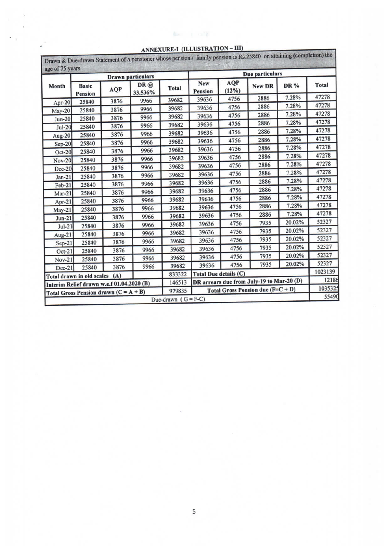| age of 75 years |                                           |            | <b>Drawn</b> particulars |                                 | Due particulars       |              |                                           |        |              |  |
|-----------------|-------------------------------------------|------------|--------------------------|---------------------------------|-----------------------|--------------|-------------------------------------------|--------|--------------|--|
| Month           | <b>Basic</b><br><b>Pension</b>            | <b>AQP</b> | DR @<br>33.536%          | Total                           | New<br><b>Pension</b> | AQP<br>(12%) | New DR                                    | DR %   | <b>Total</b> |  |
| Apr-20          | 25840                                     | 3876       | 9966                     | 39682                           | 39636                 | 4756         | 2886                                      | 7.28%  | 47278        |  |
| May-20          | 25840                                     | 3876       | 9966                     | 39682                           | 39636                 | 4756         | 2886                                      | 7.28%  | 47278        |  |
| $Jun-20$        | 25840                                     | 3876       | 9966                     | 39682                           | 39636                 | 4756         | 2886                                      | 7.28%  | 47278        |  |
| $Jul-20$        | 25840                                     | 3876       | 9966                     | 39682                           | 39636                 | 4756         | 2886                                      | 7.28%  | 47278        |  |
|                 | 25840                                     | 3876       | 9966                     | 39682                           | 39636                 | 4756         | 2886                                      | 7.28%  | 47278        |  |
| Aug-20          | 25840                                     | 3876       | 9966                     | 39682                           | 39636                 | 4756         | 2886                                      | 7.28%  | 47278        |  |
| $Sep-20$        | 25840                                     | 3876       | 9966                     | 39682                           | 39636                 | 4756         | 2886                                      | 7.28%  | 47278        |  |
| Oct-20          | 25840                                     | 3876       | 9966                     | 39682                           | 39636                 | 4756         | 2886                                      | 7.28%  | 47278        |  |
| <b>Nov-20</b>   |                                           | 3876       | 9966                     | 39682                           | 39636                 | 4756         | 2886                                      | 7.28%  | 47278        |  |
| Dec-20          | 25840                                     | 3876       | 9966                     | 39682                           | 39636                 | 4756         | 2886                                      | 7.28%  | 47278        |  |
| $Jan-21$        | 25840                                     | 3876       | 9966                     | 39682                           | 39636                 | 4756         | 2886                                      | 7.28%  | 47278        |  |
| $Feb-21$        | 25840                                     | 3876       | 9966                     | 39682                           | 39636                 | 4756         | 2886                                      | 7.28%  | 47278        |  |
| $Mar-21$        | 25840                                     | 3876       | 9966                     | 39682                           | 39636                 | 4756         | 2886                                      | 7.28%  | 47278        |  |
| Apr-21          | 25840                                     | 3876       | 9966                     | 39682                           | 39636                 | 4756         | 2886                                      | 7.28%  | 47278        |  |
| $May-21$        | 25840                                     |            | 9966                     | 39682                           | 39636                 | 4756         | 2886                                      | 7.28%  | 47278        |  |
| $Jun-21$        | 25840                                     | 3876       | 9966                     | 39682                           | 39636                 | 4756         | 7935                                      | 20.02% | 52327        |  |
| $Jul-21$        | 25840                                     | 3876       | 9966                     | 39682                           | 39636                 | 4756         | 7935                                      | 20.02% | 52327        |  |
| Aug-21          | 25840                                     | 3876       | 9966                     | 39682                           | 39636                 | 4756         | 7935                                      | 20.02% | 52327        |  |
| $Sep-21$        | 25840                                     | 3876       | 9966                     | 39682                           | 39636                 | 4756         | 7935                                      | 20.02% | 52327        |  |
| $Oct-21$        | 25840                                     | 3876       |                          | 39682                           | 39636                 | 4756         | 7935                                      | 20.02% | 52327        |  |
| $Nov-21$        | 25840                                     | 3876       | 9966                     | 39682                           | 39636                 | 4756         | 7935                                      | 20.02% | 52327        |  |
| $Dec-21$        | 25840                                     | 3876       | 9966                     |                                 | Total Due details (C) |              |                                           |        | 1023139      |  |
|                 | Total drawn in old scales                 | (A)        |                          | 833322                          |                       |              | DR arrears due from July-19 to Mar-20 (D) |        | 12186        |  |
|                 | Interim Relief drawn w.e.f 01.04.2020 (B) |            |                          | 146513                          |                       |              | Total Gross Pension due (F=C + D)         |        | 1035325      |  |
|                 | Total Gross Pension drawn $(C = A + B)$   |            |                          | 979835<br>Due-drawn $(G = F-C)$ |                       | 55490        |                                           |        |              |  |

### ANNEXURE-I (ILLUSTRATION - III)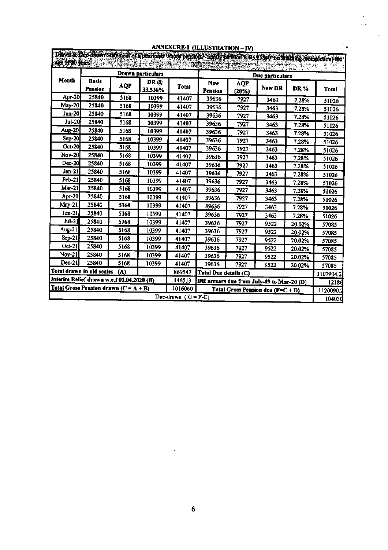|                                           | ARREAUKE-I (ILLUSTRATION – IV)<br>Deavil & the drawn Statement of a pensioner whose pension / family pension is Rs 25840 on what high (completion) the |            |                   |                         |                                           |                     |                                  |        |              |  |  |  |
|-------------------------------------------|--------------------------------------------------------------------------------------------------------------------------------------------------------|------------|-------------------|-------------------------|-------------------------------------------|---------------------|----------------------------------|--------|--------------|--|--|--|
| aos de 30 Jean.                           |                                                                                                                                                        |            |                   |                         | ALCOHOL DESCRIPTION AND LARGE             |                     | <b>The property of the State</b> |        |              |  |  |  |
|                                           |                                                                                                                                                        |            | Drawn particulars |                         | 부사가 나지 아직 아이가 있다.<br>Due particulars      |                     |                                  |        |              |  |  |  |
| Month                                     | <b>Basic</b><br><b>Pension</b>                                                                                                                         | <b>AQP</b> | DR @<br>33.536%   | Total                   | New<br>Pension                            | <b>AQP</b><br>(20%) | New DR                           | DR %   | <b>Total</b> |  |  |  |
| Apr-20                                    | 25840                                                                                                                                                  | 5168       | 10399             | 41407                   | 39636                                     | 7927                | 3463                             | 7.28%  | 51026        |  |  |  |
| May-201                                   | 25840                                                                                                                                                  | 5168       | 10399             | 41407                   | 39636                                     | 7927                | 3463                             | 7.28%  | 51026        |  |  |  |
| <b>Jun-20</b>                             | 25840                                                                                                                                                  | 5168       | 10399             | 41407                   | 39636                                     | 7927                | 3463                             | 7.28%  | 51026        |  |  |  |
| <b>Jul-20</b>                             | 25840                                                                                                                                                  | 5168       | 10399             | 41407                   | 39636                                     | 7927                | 3463                             | 7.28%  | 51026        |  |  |  |
| <b>Aug-20</b>                             | 25840                                                                                                                                                  | 5168       | 10399             | 41407                   | 39636                                     | 7927                | 3463                             | 7.28%  | 51026        |  |  |  |
| $Sep-20$                                  | 25840                                                                                                                                                  | 5168       | 10399             | 41407                   | 39636                                     | 7927                | 3463                             | 7.28%  | 51026        |  |  |  |
| Oct-20                                    | 25840                                                                                                                                                  | 5168       | 10399             | 41407                   | 39636                                     | 7927                | 3463                             | 7.28%  | 51026        |  |  |  |
| <b>Nov-201</b>                            | 25840                                                                                                                                                  | 5168       | 10399             | 41407                   | 39636                                     | 7927                | 3463                             | 7.28%  | 51026        |  |  |  |
| $Dec-20$                                  | 25840                                                                                                                                                  | 5168       | 10399             | 41407                   | 39636                                     | 7927                | 3463                             | 7.28%  | 51026        |  |  |  |
| $Jan-21$                                  | 25840                                                                                                                                                  | 5168       | 10399             | 41407                   | 39636                                     | 7927                | 3463                             | 7.28%  | 51026        |  |  |  |
| Feb-21                                    | 25840                                                                                                                                                  | 5168       | 10399             | 41407                   | 39636                                     | 7927                | 3463                             | 7.28%  | 51026        |  |  |  |
| Mar-21                                    | 25840                                                                                                                                                  | 5168       | 10399             | 41407                   | 39636                                     | 7927                | 3463                             | 7.28%  | 51026        |  |  |  |
| Apr-21                                    | 25840                                                                                                                                                  | 5168       | 10399             | 41407                   | 39636                                     | 7927                | 3463                             | 7.28%  | 51026        |  |  |  |
| $M$ ay-21                                 | 25840                                                                                                                                                  | 5168       | 10399             | 41407                   | 39636                                     | 7927                | 3463                             | 7.28%  | 51026        |  |  |  |
| Jun-21                                    | 25840                                                                                                                                                  | 5168       | 10399             | 41407                   | 39636                                     | 7927                | 3463                             | 7.28%  | 51026        |  |  |  |
| Jul-21                                    | 25840                                                                                                                                                  | 5168       | 10399             | 41407                   | 39636                                     | 7927                | 9522                             | 20.02% | 57085        |  |  |  |
| Aug-21                                    | 25840                                                                                                                                                  | 5168       | 10399             | 41407                   | 39636                                     | 7927                | 9522                             | 20.02% | 57085        |  |  |  |
| $Sep-21$                                  | 25840                                                                                                                                                  | 5168       | 10399             | 41407                   | 39636                                     | 7927                | 9522                             | 20.02% | 57085        |  |  |  |
| Oct-21                                    | 25840                                                                                                                                                  | 5168       | 10399             | 41407                   | 39636                                     | 7927                | 9522                             | 20.02% | 57085        |  |  |  |
| Nov-21                                    | 25840                                                                                                                                                  | 5168       | 10399             | 41407                   | 39636                                     | 7927                | 9522                             | 20.02% | 57085        |  |  |  |
| $Dec-21$                                  | 25840                                                                                                                                                  | 5168       | 10399             | 41407                   | 39636                                     | 7927                | 9522                             | 20.02% | 57085        |  |  |  |
| Total drawn in old scales                 |                                                                                                                                                        | (A)        |                   | 869547                  | <b>Total Due details (C)</b>              | 1107904.2           |                                  |        |              |  |  |  |
| Interim Relief drawn w.e.f 01.04.2020 (B) |                                                                                                                                                        |            |                   | 146513                  | DR arrears due from July-19 to Mar-20 (D) |                     |                                  |        | 12186        |  |  |  |
| Total Gross Pension drawn $(C = A + B)$   |                                                                                                                                                        |            |                   | 1016060                 | Total Gross Pension due (F=C + D)         |                     |                                  |        | 1120090.     |  |  |  |
|                                           |                                                                                                                                                        |            |                   | Due-drawn $(G = F - C)$ |                                           |                     |                                  |        | 104030       |  |  |  |

### ANNEXURE-I (ILLUSTRATION-IV)

 $\mathcal{L}^{\text{max}}$ 

į.

 $\mathbf{r}$ 

 $\sim$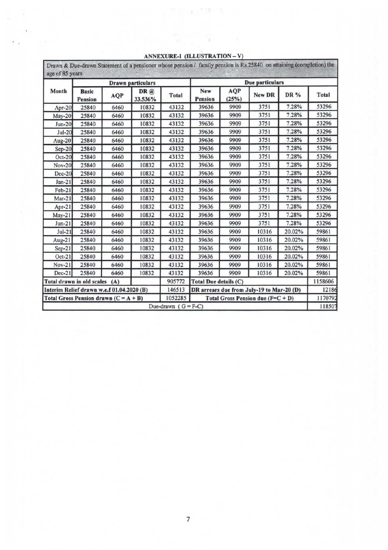| age of 85 years                           |                                |      |                          |                |                                           |                     | Drawn & Due-drawn Statement of a pensioner whose pension / family pension is Rs.25840 on attaining (completion) the |        |         |  |
|-------------------------------------------|--------------------------------|------|--------------------------|----------------|-------------------------------------------|---------------------|---------------------------------------------------------------------------------------------------------------------|--------|---------|--|
|                                           |                                |      | <b>Drawn</b> particulars |                |                                           | Due particulars     |                                                                                                                     |        |         |  |
| Month                                     | <b>Basic</b><br><b>Pension</b> | AQP  | DR@<br>33.536%           | <b>Total</b>   | New<br><b>Pension</b>                     | <b>AQP</b><br>(25%) | New DR                                                                                                              | DR %   | Total   |  |
| Apr-20                                    | 25840                          | 6460 | 10832                    | 43132          | 39636                                     | 9909                | 3751                                                                                                                | 7.28%  | 53296   |  |
| May-20                                    | 25840                          | 6460 | 10832                    | 43132          | 39636                                     | 9909                | 3751                                                                                                                | 7.28%  | 53296   |  |
| $Jun-20$                                  | 25840                          | 6460 | 10832                    | 43132          | 39636                                     | 9909                | 3751                                                                                                                | 7.28%  | 53296   |  |
| $Jul-20$                                  | 25840                          | 6460 | 10832                    | 43132          | 39636                                     | 9909                | 3751                                                                                                                | 7.28%  | 53296   |  |
| Aug- $20$                                 | 25840                          | 6460 | 10832                    | 43132          | 39636                                     | 9909                | 3751                                                                                                                | 7.28%  | 53296   |  |
| $Sep-20$                                  | 25840                          | 6460 | 10832                    | 43132          | 39636                                     | 9909                | 3751                                                                                                                | 7.28%  | 53296   |  |
| $Oct-20$                                  | 25840                          | 6460 | 10832                    | 43132          | 39636                                     | 9909                | 3751                                                                                                                | 7.28%  | 53296   |  |
| Nov-20                                    | 25840                          | 6460 | 10832                    | 43132          | 39636                                     | 9909                | 3751                                                                                                                | 7.28%  | 53296   |  |
| Dec-20                                    | 25840                          | 6460 | 10832                    | 43132          | 39636                                     | 9909                | 3751                                                                                                                | 7.28%  | 53296   |  |
| $Jan-21$                                  | 25840                          | 6460 | 10832                    | 43132          | 39636                                     | 9909                | 3751                                                                                                                | 7.28%  | 53296   |  |
| $Feb-21$                                  | 25840                          | 6460 | 10832                    | 43132          | 39636                                     | 9909                | 3751                                                                                                                | 7.28%  | 53296   |  |
| $Mar-21$                                  | 25840                          | 6460 | 10832                    | 43132          | 39636                                     | 9909                | 3751                                                                                                                | 7.28%  | 53296   |  |
| Apr-21                                    | 25840                          | 6460 | 10832                    | 43132          | 39636                                     | 9909                | 3751                                                                                                                | 7.28%  | 53296   |  |
| $May-21$                                  | 25840                          | 6460 | 10832                    | 43132          | 39636                                     | 9909                | 3751                                                                                                                | 7.28%  | 53296   |  |
| $Jun-21$                                  | 25840                          | 6460 | 10832                    | 43132          | 39636                                     | 9909                | 3751                                                                                                                | 7.28%  | 53296   |  |
| $Jul-21$                                  | 25840                          | 6460 | 10832                    | 43132          | 39636                                     | 9909                | 10316                                                                                                               | 20.02% | 59861   |  |
| Aug-21                                    | 25840                          | 6460 | 10832                    | 43132          | 39636                                     | 9909                | 10316                                                                                                               | 20.02% | 59861   |  |
| $Sep-21$                                  | 25840                          | 6460 | 10832                    | 43132          | 39636                                     | 9909                | 10316                                                                                                               | 20.02% | 59861   |  |
| $Oct-21$                                  | 25840                          | 6460 | 10832                    | 43132          | 39636                                     | 9909                | 10316                                                                                                               | 20.02% | 59861   |  |
| $Nov-21$                                  | 25840                          | 6460 | 10832                    | 43132          | 39636                                     | 9909                | 10316                                                                                                               | 20.02% | 59861   |  |
| $Dec-21$                                  | 25840                          | 6460 | 10832                    | 43132          | 39636                                     | 9909                | 10316                                                                                                               | 20.02% | 59861   |  |
| Total drawn in old scales                 |                                | (A)  |                          | 905772         | Total Due details (C)                     |                     | 1158606                                                                                                             |        |         |  |
| Interim Relief drawn w.e.f 01.04.2020 (B) |                                |      |                          | 146513         | DR arrears due from July-19 to Mar-20 (D) |                     |                                                                                                                     |        | 12186   |  |
| Total Gross Pension drawn $(C = A + B)$   |                                |      |                          | 1052285        | Total Gross Pension due $(F=C+D)$         |                     |                                                                                                                     |        | 1170792 |  |
|                                           |                                |      |                          | Due-drawn<br>1 | $G = F-C$                                 |                     |                                                                                                                     |        | 118507  |  |

### ANNEXURE-I (ILLUSTRATION - V)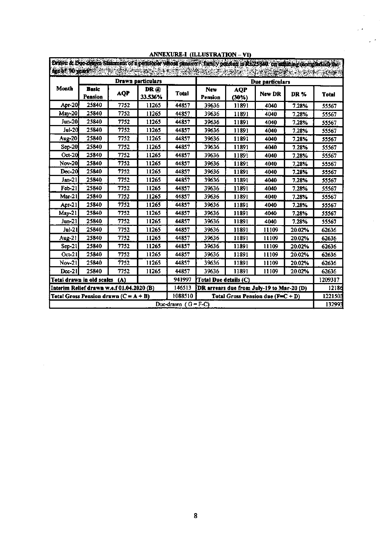|                                           |                                         |            | Drawn particulars |              | Due particulars                           |                        |        |        |              |  |
|-------------------------------------------|-----------------------------------------|------------|-------------------|--------------|-------------------------------------------|------------------------|--------|--------|--------------|--|
| Month                                     | <b>Basic</b><br>Pension                 | <b>AQP</b> | DR @<br>33.536%   | <b>Total</b> | New<br>Pension                            | <b>AQP</b><br>$(30\%)$ | New DR | DR%    | <b>Total</b> |  |
| Apr-20                                    | 25840                                   | 7752       | 11265             | 44857        | 39636                                     | 11891                  | 4040   | 7.28%  | 55567        |  |
| May-20                                    | 25840                                   | 7752       | 11265             | 44857        | 39636                                     | 11891                  | 4040   | 7.28%  | 55567        |  |
| Jun-201                                   | 25840                                   | 7752       | 11265             | 44857        | 39636                                     | 11891                  | 4040   | 7.28%  | 55567        |  |
| Jul-20                                    | 25840                                   | 7752       | 11265             | 44857        | 39636                                     | 11891                  | 4040   | 7.28%  | 55567        |  |
| <b>Aug-20</b>                             | 25840                                   | 7752       | 11265             | 44857        | 39636                                     | 11891                  | 4040   | 7.28%  | 55567        |  |
| $Sep-201$                                 | 25840                                   | 7752       | 11265             | 44857        | 39636                                     | 11891                  | 4040   | 7.28%  | 55567        |  |
| Oct-20                                    | 25840                                   | 7752       | 11265             | 44857        | 39636                                     | 11891                  | 4040   | 7.28%  | 55567        |  |
| Nov-20                                    | 25840                                   | 7752       | 11265             | 44857        | 39636                                     | 11891                  | 4040   | 7.28%  | 55567        |  |
| Dec-20                                    | 25840                                   | 7752       | 11265             | 44857        | 39636                                     | 11891                  | 4040   | 7.28%  | 55567        |  |
| Jan-21                                    | 25840                                   | 7752       | 11265             | 44857        | 39636                                     | 11891                  | 4040   | 7.28%  | 55567        |  |
| $Feb-21$                                  | 25840                                   | 7752       | 11265             | 44857        | 39636                                     | 11891                  | 4040   | 7.28%  | 55567        |  |
| Mar-21                                    | 25840                                   | 7752       | 11265             | 44857        | 39636                                     | 11891                  | 4040   | 7.28%  | 55567        |  |
| Apr-21                                    | 25840                                   | 7752       | 11265             | 44857        | 39636                                     | 11891                  | 4040   | 7.28%  | 55567        |  |
| $M$ ay-21                                 | 25840                                   | 7752       | 11265             | 44857        | 39636                                     | 11891                  | 4040   | 7.28%  | 55567        |  |
| Jun-21                                    | 25840                                   | 7752       | 11265             | 44857        | 39636                                     | 11891                  | 4040   | 7.28%  | 55567        |  |
| Jul-21                                    | 25840                                   | 7752       | 11265             | 44857        | 39636                                     | 11891                  | 11109  | 20.02% | 62636        |  |
| Aug-21                                    | 25840                                   | 7752       | 11265             | 44857        | 39636                                     | 11891                  | 11109  | 20.02% | 62636        |  |
| $Sep-21$                                  | 25840                                   | 7752       | 11265             | 44857        | 39636                                     | 11891                  | 11109  | 20.02% | 62636        |  |
| $Oct-21$                                  | 25840                                   | 7752       | 11265             | 44857        | 39636                                     | 11891                  | 11109  | 20.02% | 62636        |  |
| Nov-21                                    | 25840                                   | 7752       | 11265             | 44857        | 39636                                     | 11891                  | 11109  | 20.02% | 62636        |  |
| $Dec-21$                                  | 25840                                   | 7752       | 11265             | 44857        | 39636                                     | 11891                  | 11109  | 20.02% | 62636        |  |
|                                           | Total drawn in old scales               | (A)        |                   | 941997       | Total Due details (C)                     | 1209317                |        |        |              |  |
| Interim Relief drawn w.e.f 01.04.2020 (B) |                                         |            |                   | 146513       | DR arrears due from July-19 to Mar-20 (D) | 12186                  |        |        |              |  |
|                                           | Total Gross Pension drawn $(C = A + B)$ |            |                   | 1088510      | Total Gross Pension due $(F=C+D)$         |                        |        |        |              |  |

# ANNEXURE-1 (ILLUSTRATION - VI)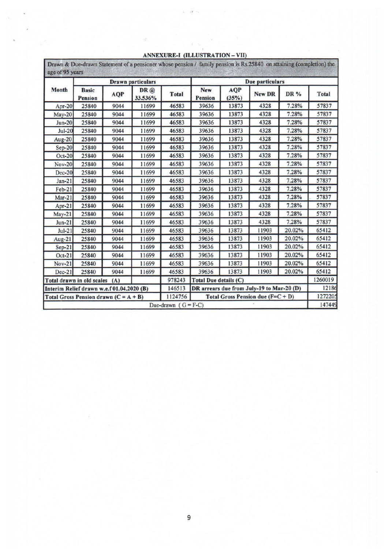| age of 95 years                           |                                |            | Drawn & Due-drawn Statement of a pensioner whose pension / family pension is Rs.25840 on attaining (completion) the |                         |                                           |              |                 |            |              |
|-------------------------------------------|--------------------------------|------------|---------------------------------------------------------------------------------------------------------------------|-------------------------|-------------------------------------------|--------------|-----------------|------------|--------------|
|                                           |                                |            | <b>Drawn</b> particulars                                                                                            |                         |                                           |              | Due particulars |            |              |
| Month                                     | <b>Basic</b><br><b>Pension</b> | <b>AQP</b> | DR@<br>33.536%                                                                                                      | <b>Total</b>            | <b>New</b><br>Pension                     | AQP<br>(35%) | New DR          | <b>DR%</b> | <b>Total</b> |
| Apr-20                                    | 25840                          | 9044       | 11699                                                                                                               | 46583                   | 39636                                     | 13873        | 4328            | 7.28%      | 57837        |
| $May-20$                                  | 25840                          | 9044       | 11699                                                                                                               | 46583                   | 39636                                     | 13873        | 4328            | 7.28%      | 57837        |
| $Jun-20$                                  | 25840                          | 9044       | 11699                                                                                                               | 46583                   | 39636                                     | 13873        | 4328            | 7.28%      | 57837        |
| $Jul-20$                                  | 25840                          | 9044       | 11699                                                                                                               | 46583                   | 39636                                     | 13873        | 4328            | 7.28%      | 57837        |
| Aug-20                                    | 25840                          | 9044       | 11699                                                                                                               | 46583                   | 39636                                     | 13873        | 4328            | 7.28%      | 57837        |
| $Sep-20$                                  | 25840                          | 9044       | 11699                                                                                                               | 46583                   | 39636                                     | 13873        | 4328            | 7.28%      | 57837        |
| $Oct-20$                                  | 25840                          | 9044       | 11699                                                                                                               | 46583                   | 39636                                     | 13873        | 4328            | 7.28%      | 57837        |
| Nov-20                                    | 25840                          | 9044       | 11699                                                                                                               | 46583                   | 39636                                     | 13873        | 4328            | 7.28%      | 57837        |
| $Dec-20$                                  | 25840                          | 9044       | 11699                                                                                                               | 46583                   | 39636                                     | 13873        | 4328            | 7.28%      | 57837        |
| $Jan-21$                                  | 25840                          | 9044       | 11699                                                                                                               | 46583                   | 39636                                     | 13873        | 4328            | 7.28%      | 57837        |
| Feb-21                                    | 25840                          | 9044       | 11699                                                                                                               | 46583                   | 39636                                     | 13873        | 4328            | 7.28%      | 57837        |
| $Mar-21$                                  | 25840                          | 9044       | 11699                                                                                                               | 46583                   | 39636                                     | 13873        | 4328            | 7.28%      | 57837        |
| Apr-21                                    | 25840                          | 9044       | 11699                                                                                                               | 46583                   | 39636                                     | 13873        | 4328            | 7.28%      | 57837        |
| $May-21$                                  | 25840                          | 9044       | 11699                                                                                                               | 46583                   | 39636                                     | 13873        | 4328            | 7.28%      | 57837        |
| $Jun-21$                                  | 25840                          | 9044       | 11699                                                                                                               | 46583                   | 39636                                     | 13873        | 4328            | 7.28%      | 57837        |
| $Jul-21$                                  | 25840                          | 9044       | 11699                                                                                                               | 46583                   | 39636                                     | 13873        | 11903           | 20.02%     | 65412        |
| Aug-21                                    | 25840                          | 9044       | 11699                                                                                                               | 46583                   | 39636                                     | 13873        | 11903           | 20.02%     | 65412        |
| $Sep-21$                                  | 25840                          | 9044       | 11699                                                                                                               | 46583                   | 39636                                     | 13873        | 11903           | 20.02%     | 65412        |
| $Oct-21$                                  | 25840                          | 9044       | 11699                                                                                                               | 46583                   | 39636                                     | 13873        | 11903           | 20.02%     | 65412        |
| $Nov-21$                                  | 25840                          | 9044       | 11699                                                                                                               | 46583                   | 39636                                     | 13873        | 11903           | 20.02%     | 65412        |
| $Dec-21$                                  | 25840                          | 9044       | 11699                                                                                                               | 46583                   | 39636                                     | 13873        | 11903           | 20.02%     | 65412        |
| Total drawn in old scales                 |                                | (A)        |                                                                                                                     | 978243                  | <b>Total Due details (C)</b>              | 1260019      |                 |            |              |
| Interim Relief drawn w.e.f 01.04.2020 (B) |                                |            |                                                                                                                     | 146513                  | DR arrears due from July-19 to Mar-20 (D) |              |                 |            | 12186        |
| Total Gross Pension drawn $(C = A + B)$   |                                |            |                                                                                                                     | 1124756                 | Total Gross Pension due $(F=C+D)$         |              |                 |            | 1272205      |
|                                           |                                |            |                                                                                                                     | Due-drawn<br>$\epsilon$ | $G = F-C$                                 |              |                 |            | 147449       |

### ANNEXURE-I (ILLUSTRATION - VII)